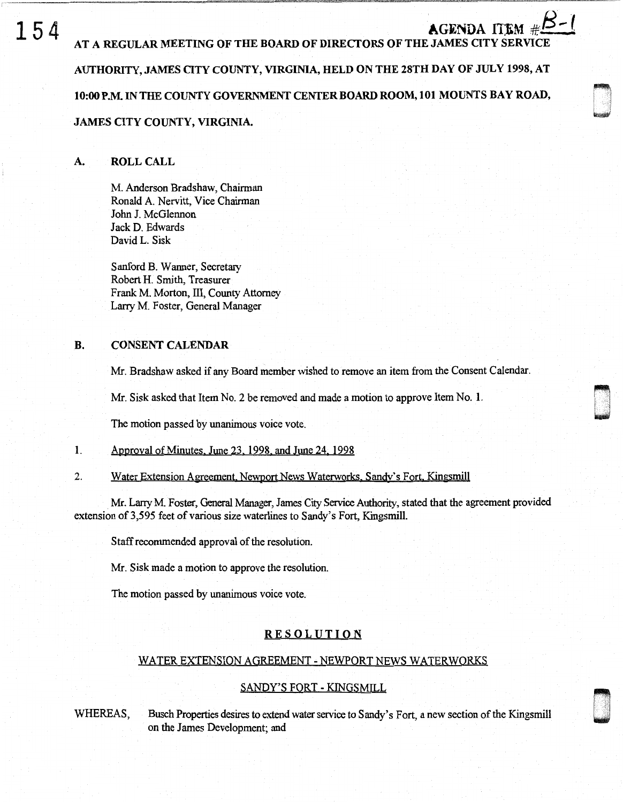# 154 AT A REGULAR MEETING OF THE BOARD OF DIRECTORS OF THE JAMES CITY SERVICE AUTHORITY, JAMES OTY COUNTY, VIRGINIA, HELD ON THE 28TH DAY OF JULY 1998, AT 10:00 P.M. IN THE COUNTY GOVERNMENT CENTER BOARD ROOM, 101 MOUNTS BAY ROAD, JAMES CITY COUNTY, VIRGINIA.

n I . ~

n u

## A. ROLL CALL

M. Anderson Bradshaw, Chairman Ronald A. Nervitt, Vice Chairman John J. McGlennon Jack D. Edwards David L. Sisk

Sanford B. Wanner, Secretary Robert H. Smith, Treasurer Frank M. Morton, III, County Attorney Larry M. Foster, General Manager

# B. CONSENT CALENDAR

Mr. Bradshaw asked if any Board member wished to remove an item from the Consent Calendar.

Mr. Sisk asked that Item No. 2 be removed and made a motion to approve Item No. 1.

The motion passed by unanimous voice vote.

- 1. Approval of Minutes. June 23. 1998. and June 24. 1998
- 2. Water Extension Agreement. Newport News Waterworks. Sandy's Fort. Kingsmill

Mr. Lany M. Foster, General Manager, James City Service Authority, stated that the agreement provided extension of3,595 feet of various size waterlines to Sandy's Fort, Kingsmill.

Staff recommended approval of the resolution.

Mr. Sisk made a motion to approve the resolution.

The motion passed by unanimous voice vote.

# **RESOLUTION**

### WATER EXTENSION AGREEMENT - NEWPORT NEWS WATERWORKS

### SANDY'S FORT - KINGSMILL

WHEREAS, Busch Properties desires to extend water service to Sandy's Fort, a new section of the Kingsmill on the James Development; and